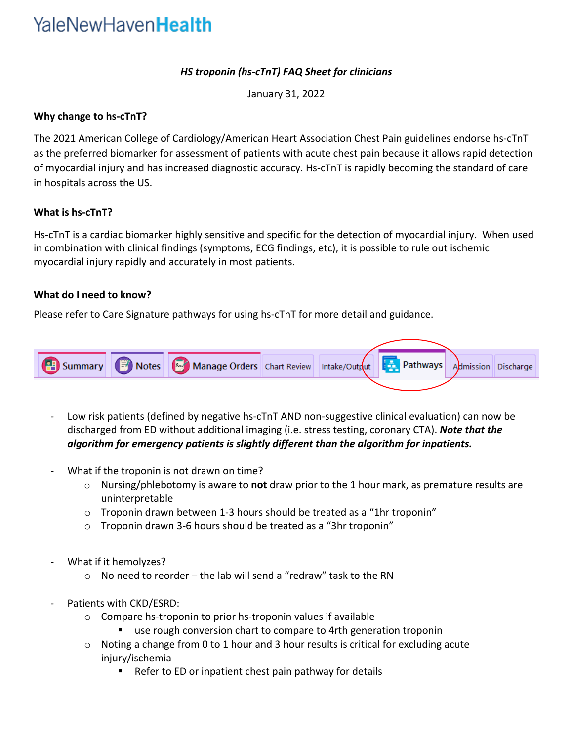# YaleNewHaven**Health**

# *HS troponin (hs-cTnT) FAQ Sheet for clinicians*

January 31, 2022

### **Why change to hs-cTnT?**

The 2021 American College of Cardiology/American Heart Association Chest Pain guidelines endorse hs-cTnT as the preferred biomarker for assessment of patients with acute chest pain because it allows rapid detection of myocardial injury and has increased diagnostic accuracy. Hs-cTnT is rapidly becoming the standard of care in hospitals across the US.

#### **What is hs-cTnT?**

Hs-cTnT is a cardiac biomarker highly sensitive and specific for the detection of myocardial injury. When used in combination with clinical findings (symptoms, ECG findings, etc), it is possible to rule out ischemic myocardial injury rapidly and accurately in most patients.

### **What do I need to know?**

Please refer to Care Signature pathways for using hs-cTnT for more detail and guidance.



- Low risk patients (defined by negative hs-cTnT AND non-suggestive clinical evaluation) can now be discharged from ED without additional imaging (i.e. stress testing, coronary CTA). *Note that the algorithm for emergency patients is slightly different than the algorithm for inpatients.*
- What if the troponin is not drawn on time?
	- o Nursing/phlebotomy is aware to **not** draw prior to the 1 hour mark, as premature results are uninterpretable
	- $\circ$  Troponin drawn between 1-3 hours should be treated as a "1hr troponin"
	- o Troponin drawn 3-6 hours should be treated as a "3hr troponin"
- What if it hemolyzes?
	- $\circ$  No need to reorder the lab will send a "redraw" task to the RN
- Patients with CKD/ESRD:
	- o Compare hs-troponin to prior hs-troponin values if available
		- use rough conversion chart to compare to 4rth generation troponin
	- $\circ$  Noting a change from 0 to 1 hour and 3 hour results is critical for excluding acute injury/ischemia
		- Refer to ED or inpatient chest pain pathway for details